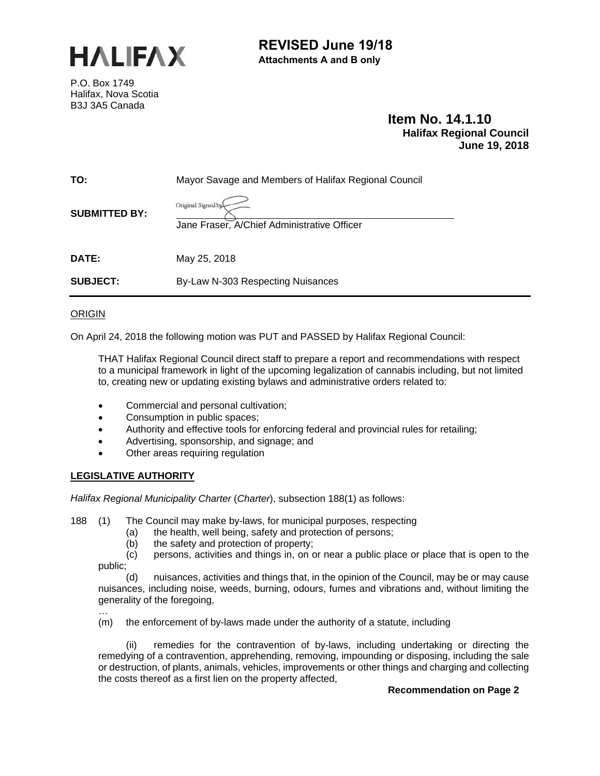

# **REVISED June 19/18 Attachments A and B only**

P.O. Box 1749 Halifax, Nova Scotia B3J 3A5 Canada

# **Item No. 14.1.10 Halifax Regional Council June 19, 2018**

| TO:                  | Mayor Savage and Members of Halifax Regional Council              |  |
|----------------------|-------------------------------------------------------------------|--|
| <b>SUBMITTED BY:</b> | Original Signed by<br>Jane Fraser, A/Chief Administrative Officer |  |
| DATE:                | May 25, 2018                                                      |  |
| <b>SUBJECT:</b>      | By-Law N-303 Respecting Nuisances                                 |  |

**ORIGIN** 

On April 24, 2018 the following motion was PUT and PASSED by Halifax Regional Council:

THAT Halifax Regional Council direct staff to prepare a report and recommendations with respect to a municipal framework in light of the upcoming legalization of cannabis including, but not limited to, creating new or updating existing bylaws and administrative orders related to:

- Commercial and personal cultivation;
- Consumption in public spaces;
- Authority and effective tools for enforcing federal and provincial rules for retailing;
- Advertising, sponsorship, and signage; and
- Other areas requiring regulation

#### **LEGISLATIVE AUTHORITY**

*Halifax Regional Municipality Charter* (*Charter*), subsection 188(1) as follows:

- 188 (1)The Council may make by-laws, for municipal purposes, respecting
	- (a) the health, well being, safety and protection of persons;
		- (b) the safety and protection of property;
	- (c) persons, activities and things in, on or near a public place or place that is open to the public;

(d) nuisances, activities and things that, in the opinion of the Council, may be or may cause nuisances, including noise, weeds, burning, odours, fumes and vibrations and, without limiting the generality of the foregoing, …

(m) the enforcement of by-laws made under the authority of a statute, including

(ii) remedies for the contravention of by-laws, including undertaking or directing the remedying of a contravention, apprehending, removing, impounding or disposing, including the sale or destruction, of plants, animals, vehicles, improvements or other things and charging and collecting the costs thereof as a first lien on the property affected,

#### **Recommendation on Page 2**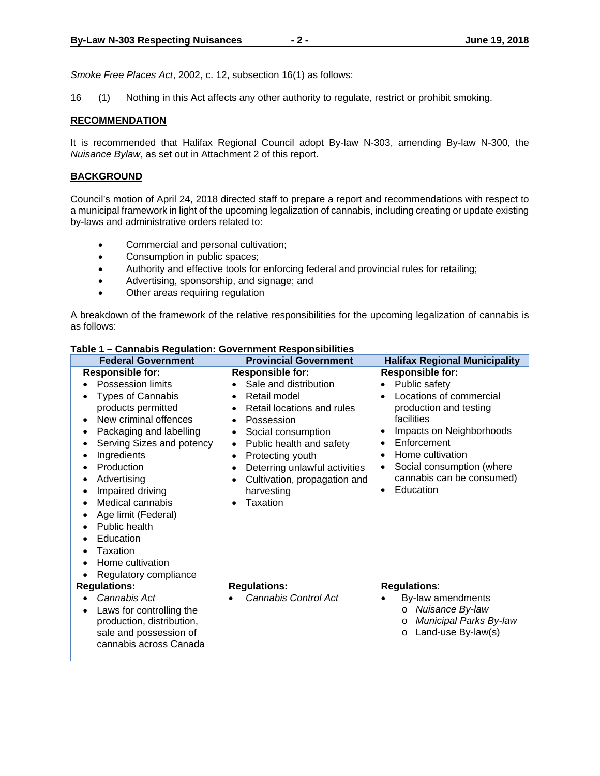*Smoke Free Places Act*, 2002, c. 12, subsection 16(1) as follows:

16 (1) Nothing in this Act affects any other authority to regulate, restrict or prohibit smoking.

#### **RECOMMENDATION**

It is recommended that Halifax Regional Council adopt By-law N-303, amending By-law N-300, the *Nuisance Bylaw*, as set out in Attachment 2 of this report.

#### **BACKGROUND**

Council's motion of April 24, 2018 directed staff to prepare a report and recommendations with respect to a municipal framework in light of the upcoming legalization of cannabis, including creating or update existing by-laws and administrative orders related to:

- Commercial and personal cultivation;
- Consumption in public spaces;
- Authority and effective tools for enforcing federal and provincial rules for retailing;
- Advertising, sponsorship, and signage; and
- Other areas requiring regulation

A breakdown of the framework of the relative responsibilities for the upcoming legalization of cannabis is as follows:

| <b>Federal Government</b>                                                                                                                                                                                                                                                                                                                                                                        | <b>Provincial Government</b>                                                                                                                                                                                                                                                                                                                                                                                   | <b>Halifax Regional Municipality</b>                                                                                                                                                                                                                                                     |
|--------------------------------------------------------------------------------------------------------------------------------------------------------------------------------------------------------------------------------------------------------------------------------------------------------------------------------------------------------------------------------------------------|----------------------------------------------------------------------------------------------------------------------------------------------------------------------------------------------------------------------------------------------------------------------------------------------------------------------------------------------------------------------------------------------------------------|------------------------------------------------------------------------------------------------------------------------------------------------------------------------------------------------------------------------------------------------------------------------------------------|
| <b>Responsible for:</b><br>Possession limits<br><b>Types of Cannabis</b><br>products permitted<br>New criminal offences<br>Packaging and labelling<br>٠<br>Serving Sizes and potency<br>Ingredients<br>Production<br>Advertising<br>Impaired driving<br>٠<br>Medical cannabis<br>Age limit (Federal)<br>Public health<br>Education<br>٠<br>Taxation<br>Home cultivation<br>Regulatory compliance | <b>Responsible for:</b><br>Sale and distribution<br>$\bullet$<br>Retail model<br>$\bullet$<br>Retail locations and rules<br>$\bullet$<br>Possession<br>$\bullet$<br>Social consumption<br>$\bullet$<br>Public health and safety<br>٠<br>Protecting youth<br>$\bullet$<br>Deterring unlawful activities<br>$\bullet$<br>Cultivation, propagation and<br>$\bullet$<br>harvesting<br><b>Taxation</b><br>$\bullet$ | <b>Responsible for:</b><br>Public safety<br>$\bullet$<br>Locations of commercial<br>production and testing<br>facilities<br>Impacts on Neighborhoods<br>Enforcement<br>Home cultivation<br>Social consumption (where<br>$\bullet$<br>cannabis can be consumed)<br>Education<br>$\bullet$ |
| <b>Regulations:</b>                                                                                                                                                                                                                                                                                                                                                                              | <b>Regulations:</b>                                                                                                                                                                                                                                                                                                                                                                                            | <b>Regulations:</b>                                                                                                                                                                                                                                                                      |
| Cannabis Act<br>Laws for controlling the<br>production, distribution,<br>sale and possession of<br>cannabis across Canada                                                                                                                                                                                                                                                                        | Cannabis Control Act                                                                                                                                                                                                                                                                                                                                                                                           | By-law amendments<br>Nuisance By-law<br>$\circ$<br>Municipal Parks By-law<br>$\circ$<br>Land-use By-law(s)<br>$\circ$                                                                                                                                                                    |

#### **Table 1 – Cannabis Regulation: Government Responsibilities**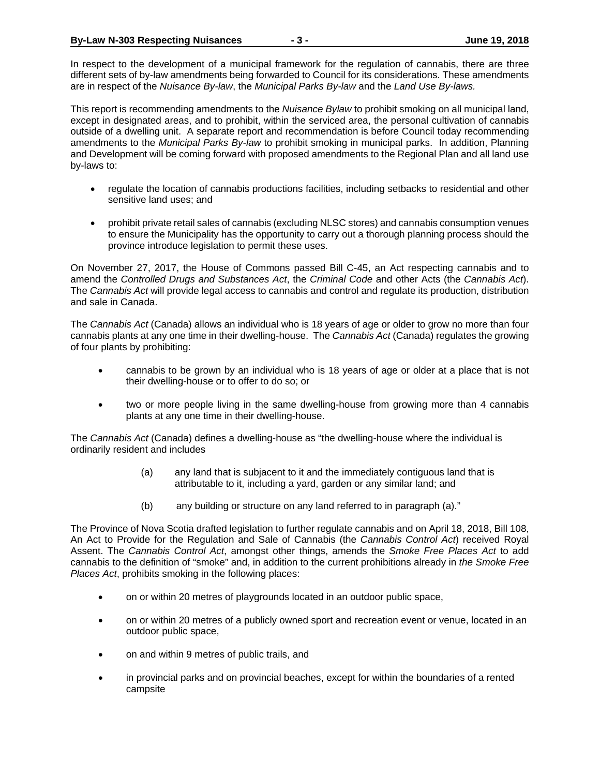In respect to the development of a municipal framework for the regulation of cannabis, there are three different sets of by-law amendments being forwarded to Council for its considerations. These amendments are in respect of the *Nuisance By-law*, the *Municipal Parks By-law* and the *Land Use By-laws.*

This report is recommending amendments to the *Nuisance Bylaw* to prohibit smoking on all municipal land, except in designated areas, and to prohibit, within the serviced area, the personal cultivation of cannabis outside of a dwelling unit. A separate report and recommendation is before Council today recommending amendments to the *Municipal Parks By-law* to prohibit smoking in municipal parks. In addition, Planning and Development will be coming forward with proposed amendments to the Regional Plan and all land use by-laws to:

- regulate the location of cannabis productions facilities, including setbacks to residential and other sensitive land uses; and
- prohibit private retail sales of cannabis (excluding NLSC stores) and cannabis consumption venues to ensure the Municipality has the opportunity to carry out a thorough planning process should the province introduce legislation to permit these uses.

On November 27, 2017, the House of Commons passed Bill C-45, an Act respecting cannabis and to amend the *Controlled Drugs and Substances Act*, the *Criminal Code* and other Acts (the *Cannabis Act*). The *Cannabis Act* will provide legal access to cannabis and control and regulate its production, distribution and sale in Canada.

The *Cannabis Act* (Canada) allows an individual who is 18 years of age or older to grow no more than four cannabis plants at any one time in their dwelling-house. The *Cannabis Act* (Canada) regulates the growing of four plants by prohibiting:

- cannabis to be grown by an individual who is 18 years of age or older at a place that is not their dwelling-house or to offer to do so; or
- two or more people living in the same dwelling-house from growing more than 4 cannabis plants at any one time in their dwelling-house.

The *Cannabis Act* (Canada) defines a dwelling-house as "the dwelling-house where the individual is ordinarily resident and includes

- (a) any land that is subjacent to it and the immediately contiguous land that is attributable to it, including a yard, garden or any similar land; and
- (b) any building or structure on any land referred to in paragraph (a)."

The Province of Nova Scotia drafted legislation to further regulate cannabis and on April 18, 2018, Bill 108, An Act to Provide for the Regulation and Sale of Cannabis (the *Cannabis Control Act*) received Royal Assent. The *Cannabis Control Act*, amongst other things, amends the *Smoke Free Places Act* to add cannabis to the definition of "smoke" and, in addition to the current prohibitions already in *the Smoke Free Places Act*, prohibits smoking in the following places:

- on or within 20 metres of playgrounds located in an outdoor public space,
- on or within 20 metres of a publicly owned sport and recreation event or venue, located in an outdoor public space,
- on and within 9 metres of public trails, and
- in provincial parks and on provincial beaches, except for within the boundaries of a rented campsite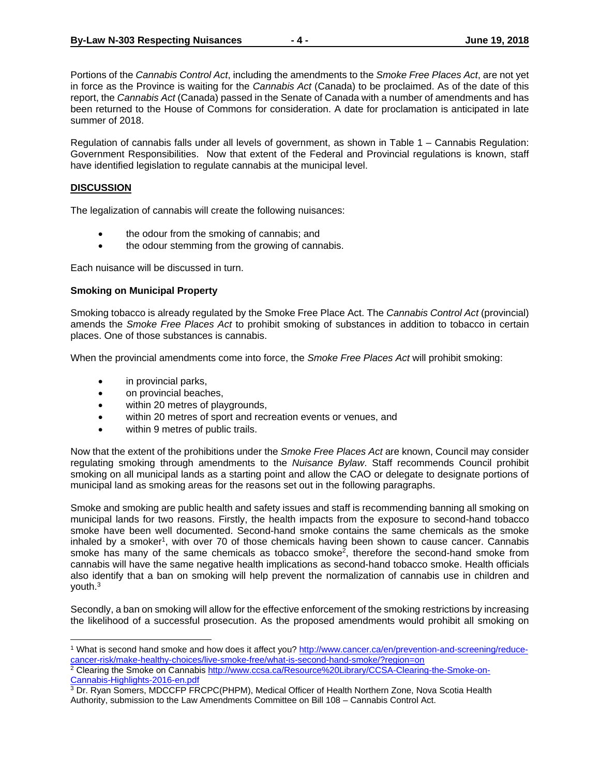Portions of the *Cannabis Control Act*, including the amendments to the *Smoke Free Places Act*, are not yet in force as the Province is waiting for the *Cannabis Act* (Canada) to be proclaimed. As of the date of this report, the *Cannabis Act* (Canada) passed in the Senate of Canada with a number of amendments and has been returned to the House of Commons for consideration. A date for proclamation is anticipated in late summer of 2018.

Regulation of cannabis falls under all levels of government, as shown in Table 1 – Cannabis Regulation: Government Responsibilities. Now that extent of the Federal and Provincial regulations is known, staff have identified legislation to regulate cannabis at the municipal level.

#### **DISCUSSION**

The legalization of cannabis will create the following nuisances:

- the odour from the smoking of cannabis; and
- the odour stemming from the growing of cannabis.

Each nuisance will be discussed in turn.

#### **Smoking on Municipal Property**

Smoking tobacco is already regulated by the Smoke Free Place Act. The *Cannabis Control Act* (provincial) amends the *Smoke Free Places Act* to prohibit smoking of substances in addition to tobacco in certain places. One of those substances is cannabis.

When the provincial amendments come into force, the *Smoke Free Places Act* will prohibit smoking:

- in provincial parks,
- on provincial beaches,
- within 20 metres of playgrounds,
- within 20 metres of sport and recreation events or venues, and
- within 9 metres of public trails.

Now that the extent of the prohibitions under the *Smoke Free Places Act* are known, Council may consider regulating smoking through amendments to the *Nuisance Bylaw*. Staff recommends Council prohibit smoking on all municipal lands as a starting point and allow the CAO or delegate to designate portions of municipal land as smoking areas for the reasons set out in the following paragraphs.

Smoke and smoking are public health and safety issues and staff is recommending banning all smoking on municipal lands for two reasons. Firstly, the health impacts from the exposure to second-hand tobacco smoke have been well documented. Second-hand smoke contains the same chemicals as the smoke inhaled by a smoker<sup>1</sup>, with over 70 of those chemicals having been shown to cause cancer. Cannabis smoke has many of the same chemicals as tobacco smoke<sup>2</sup>, therefore the second-hand smoke from cannabis will have the same negative health implications as second-hand tobacco smoke. Health officials also identify that a ban on smoking will help prevent the normalization of cannabis use in children and youth.3

Secondly, a ban on smoking will allow for the effective enforcement of the smoking restrictions by increasing the likelihood of a successful prosecution. As the proposed amendments would prohibit all smoking on

 1 What is second hand smoke and how does it affect you? http://www.cancer.ca/en/prevention-and-screening/reducecancer-risk/make-healthy-choices/live-smoke-free/what-is-second-hand-smoke/?region=on

<sup>&</sup>lt;sup>2</sup> Clearing the Smoke on Cannabis http://www.ccsa.ca/Resource%20Library/CCSA-Clearing-the-Smoke-on-Cannabis-Highlights-2016-en.pdf

<sup>3</sup> Dr. Ryan Somers, MDCCFP FRCPC(PHPM), Medical Officer of Health Northern Zone, Nova Scotia Health Authority, submission to the Law Amendments Committee on Bill 108 – Cannabis Control Act.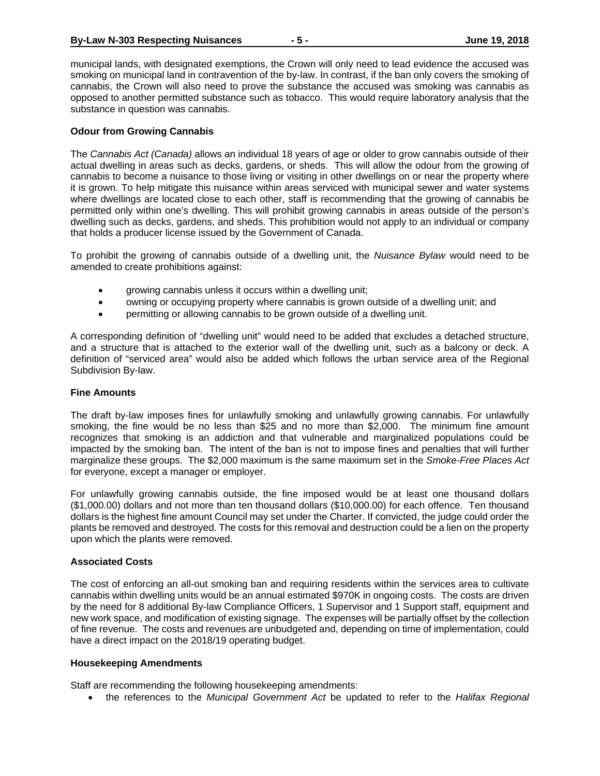municipal lands, with designated exemptions, the Crown will only need to lead evidence the accused was smoking on municipal land in contravention of the by-law. In contrast, if the ban only covers the smoking of cannabis, the Crown will also need to prove the substance the accused was smoking was cannabis as opposed to another permitted substance such as tobacco. This would require laboratory analysis that the substance in question was cannabis.

#### **Odour from Growing Cannabis**

The *Cannabis Act (Canada)* allows an individual 18 years of age or older to grow cannabis outside of their actual dwelling in areas such as decks, gardens, or sheds. This will allow the odour from the growing of cannabis to become a nuisance to those living or visiting in other dwellings on or near the property where it is grown. To help mitigate this nuisance within areas serviced with municipal sewer and water systems where dwellings are located close to each other, staff is recommending that the growing of cannabis be permitted only within one's dwelling. This will prohibit growing cannabis in areas outside of the person's dwelling such as decks, gardens, and sheds. This prohibition would not apply to an individual or company that holds a producer license issued by the Government of Canada.

To prohibit the growing of cannabis outside of a dwelling unit, the *Nuisance Bylaw* would need to be amended to create prohibitions against:

- growing cannabis unless it occurs within a dwelling unit;
- owning or occupying property where cannabis is grown outside of a dwelling unit; and
- permitting or allowing cannabis to be grown outside of a dwelling unit.

A corresponding definition of "dwelling unit" would need to be added that excludes a detached structure, and a structure that is attached to the exterior wall of the dwelling unit, such as a balcony or deck. A definition of "serviced area" would also be added which follows the urban service area of the Regional Subdivision By-law.

#### **Fine Amounts**

The draft by-law imposes fines for unlawfully smoking and unlawfully growing cannabis. For unlawfully smoking, the fine would be no less than \$25 and no more than \$2,000. The minimum fine amount recognizes that smoking is an addiction and that vulnerable and marginalized populations could be impacted by the smoking ban. The intent of the ban is not to impose fines and penalties that will further marginalize these groups. The \$2,000 maximum is the same maximum set in the *Smoke-Free Places Act* for everyone, except a manager or employer.

For unlawfully growing cannabis outside, the fine imposed would be at least one thousand dollars (\$1,000.00) dollars and not more than ten thousand dollars (\$10,000.00) for each offence. Ten thousand dollars is the highest fine amount Council may set under the Charter. If convicted, the judge could order the plants be removed and destroyed. The costs for this removal and destruction could be a lien on the property upon which the plants were removed.

#### **Associated Costs**

The cost of enforcing an all-out smoking ban and requiring residents within the services area to cultivate cannabis within dwelling units would be an annual estimated \$970K in ongoing costs. The costs are driven by the need for 8 additional By-law Compliance Officers, 1 Supervisor and 1 Support staff, equipment and new work space, and modification of existing signage. The expenses will be partially offset by the collection of fine revenue. The costs and revenues are unbudgeted and, depending on time of implementation, could have a direct impact on the 2018/19 operating budget.

### **Housekeeping Amendments**

Staff are recommending the following housekeeping amendments:

the references to the *Municipal Government Act* be updated to refer to the *Halifax Regional*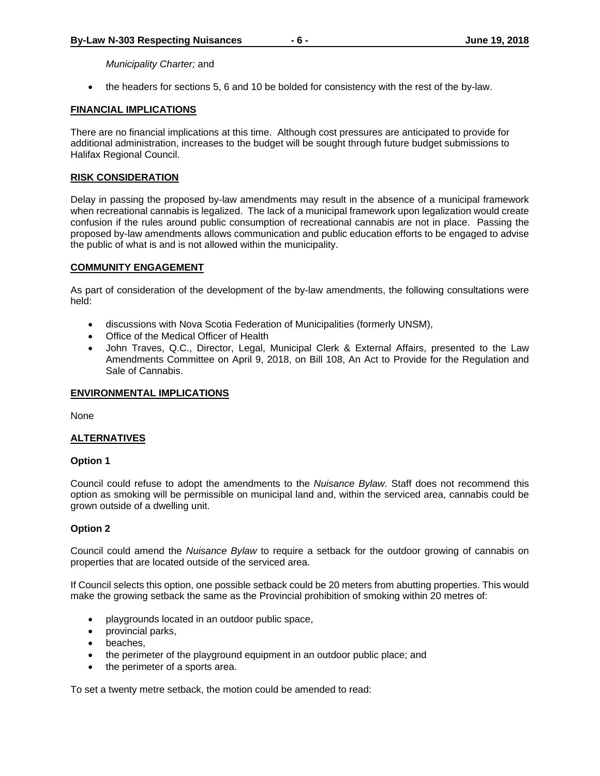*Municipality Charter;* and

the headers for sections 5, 6 and 10 be bolded for consistency with the rest of the by-law.

#### **FINANCIAL IMPLICATIONS**

There are no financial implications at this time. Although cost pressures are anticipated to provide for additional administration, increases to the budget will be sought through future budget submissions to Halifax Regional Council.

#### **RISK CONSIDERATION**

Delay in passing the proposed by-law amendments may result in the absence of a municipal framework when recreational cannabis is legalized. The lack of a municipal framework upon legalization would create confusion if the rules around public consumption of recreational cannabis are not in place. Passing the proposed by-law amendments allows communication and public education efforts to be engaged to advise the public of what is and is not allowed within the municipality.

#### **COMMUNITY ENGAGEMENT**

As part of consideration of the development of the by-law amendments, the following consultations were held:

- discussions with Nova Scotia Federation of Municipalities (formerly UNSM),
- Office of the Medical Officer of Health
- John Traves, Q.C., Director, Legal, Municipal Clerk & External Affairs, presented to the Law Amendments Committee on April 9, 2018, on Bill 108, An Act to Provide for the Regulation and Sale of Cannabis.

#### **ENVIRONMENTAL IMPLICATIONS**

None

#### **ALTERNATIVES**

#### **Option 1**

Council could refuse to adopt the amendments to the *Nuisance Bylaw*. Staff does not recommend this option as smoking will be permissible on municipal land and, within the serviced area, cannabis could be grown outside of a dwelling unit.

#### **Option 2**

Council could amend the *Nuisance Bylaw* to require a setback for the outdoor growing of cannabis on properties that are located outside of the serviced area.

If Council selects this option, one possible setback could be 20 meters from abutting properties. This would make the growing setback the same as the Provincial prohibition of smoking within 20 metres of:

- playgrounds located in an outdoor public space,
- provincial parks,
- beaches,
- the perimeter of the playground equipment in an outdoor public place; and
- the perimeter of a sports area.

To set a twenty metre setback, the motion could be amended to read: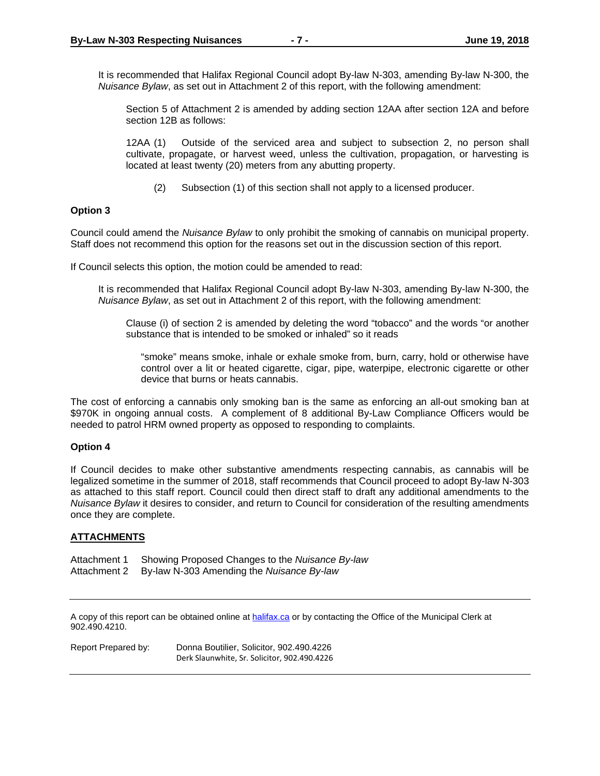It is recommended that Halifax Regional Council adopt By-law N-303, amending By-law N-300, the *Nuisance Bylaw*, as set out in Attachment 2 of this report, with the following amendment:

Section 5 of Attachment 2 is amended by adding section 12AA after section 12A and before section 12B as follows:

 12AA (1) Outside of the serviced area and subject to subsection 2, no person shall cultivate, propagate, or harvest weed, unless the cultivation, propagation, or harvesting is located at least twenty (20) meters from any abutting property.

(2) Subsection (1) of this section shall not apply to a licensed producer.

#### **Option 3**

Council could amend the *Nuisance Bylaw* to only prohibit the smoking of cannabis on municipal property. Staff does not recommend this option for the reasons set out in the discussion section of this report.

If Council selects this option, the motion could be amended to read:

It is recommended that Halifax Regional Council adopt By-law N-303, amending By-law N-300, the *Nuisance Bylaw*, as set out in Attachment 2 of this report, with the following amendment:

Clause (i) of section 2 is amended by deleting the word "tobacco" and the words "or another substance that is intended to be smoked or inhaled" so it reads

"smoke" means smoke, inhale or exhale smoke from, burn, carry, hold or otherwise have control over a lit or heated cigarette, cigar, pipe, waterpipe, electronic cigarette or other device that burns or heats cannabis.

The cost of enforcing a cannabis only smoking ban is the same as enforcing an all-out smoking ban at \$970K in ongoing annual costs. A complement of 8 additional By-Law Compliance Officers would be needed to patrol HRM owned property as opposed to responding to complaints.

#### **Option 4**

If Council decides to make other substantive amendments respecting cannabis, as cannabis will be legalized sometime in the summer of 2018, staff recommends that Council proceed to adopt By-law N-303 as attached to this staff report. Council could then direct staff to draft any additional amendments to the *Nuisance Bylaw* it desires to consider, and return to Council for consideration of the resulting amendments once they are complete.

#### **ATTACHMENTS**

Attachment 1 Showing Proposed Changes to the *Nuisance By-law* Attachment 2 By-law N-303 Amending the *Nuisance By-law* 

A copy of this report can be obtained online at **halifax.ca** or by contacting the Office of the Municipal Clerk at 902.490.4210.

Report Prepared by: Donna Boutilier, Solicitor, 902.490.4226 Derk Slaunwhite, Sr. Solicitor, 902.490.4226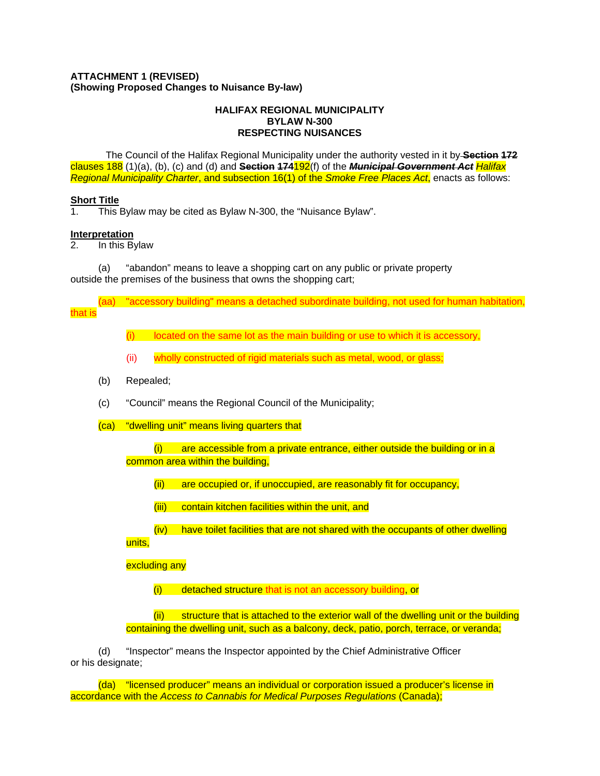#### **ATTACHMENT 1 (REVISED) (Showing Proposed Changes to Nuisance By-law)**

#### **HALIFAX REGIONAL MUNICIPALITY BYLAW N-300 RESPECTING NUISANCES**

The Council of the Halifax Regional Municipality under the authority vested in it by **Section 172** clauses 188 (1)(a), (b), (c) and (d) and **Section 174**192(f) of the *Municipal Government Act Halifax Regional Municipality Charter*, and subsection 16(1) of the *Smoke Free Places Act*, enacts as follows:

#### **Short Title**

1. This Bylaw may be cited as Bylaw N-300, the "Nuisance Bylaw".

#### **Interpretation**

2. In this Bylaw

(a) "abandon" means to leave a shopping cart on any public or private property outside the premises of the business that owns the shopping cart;

(aa) "accessory building" means a detached subordinate building, not used for human habitation, that is

 $(i)$  located on the same lot as the main building or use to which it is accessory,

- (ii) wholly constructed of rigid materials such as metal, wood, or glass;
- (b) Repealed;
- (c) "Council" means the Regional Council of the Municipality;
- (ca) "dwelling unit" means living quarters that

 $(i)$  are accessible from a private entrance, either outside the building or in a common area within the building,

- (ii) are occupied or, if unoccupied, are reasonably fit for occupancy,
- (iii) contain kitchen facilities within the unit, and
- (iv) have toilet facilities that are not shared with the occupants of other dwelling

units,

excluding any

(i) detached structure that is not an accessory building, or

(ii) structure that is attached to the exterior wall of the dwelling unit or the building containing the dwelling unit, such as a balcony, deck, patio, porch, terrace, or veranda;

(d) "Inspector" means the Inspector appointed by the Chief Administrative Officer or his designate;

(da) "licensed producer" means an individual or corporation issued a producer's license in accordance with the *Access to Cannabis for Medical Purposes Regulations* (Canada);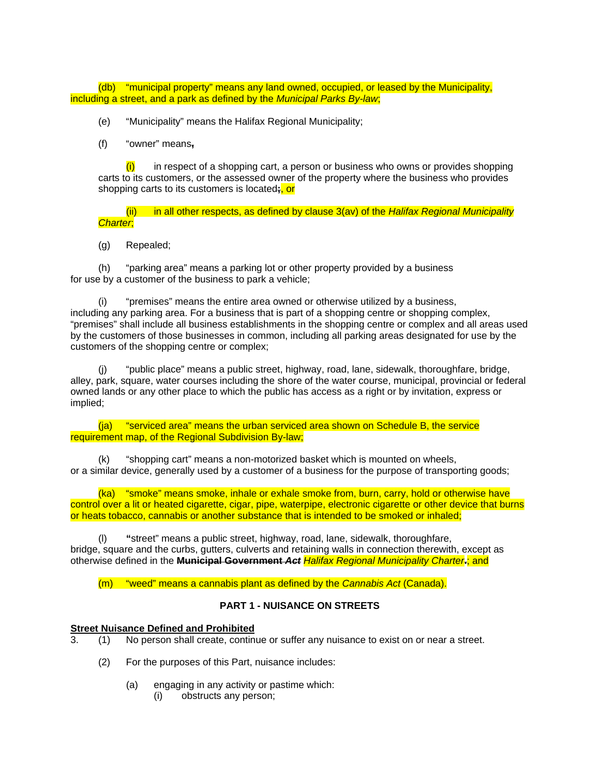(db) "municipal property" means any land owned, occupied, or leased by the Municipality, including a street, and a park as defined by the *Municipal Parks By-law*;

- (e)"Municipality" means the Halifax Regional Municipality;
- (f)"owner" means**,**

 $(i)$  in respect of a shopping cart, a person or business who owns or provides shopping carts to its customers, or the assessed owner of the property where the business who provides shopping carts to its customers is located**;**, or

 (ii) in all other respects, as defined by clause 3(av) of the *Halifax Regional Municipality Charter*;

(g)Repealed;

(h)"parking area" means a parking lot or other property provided by a business for use by a customer of the business to park a vehicle;

(i)"premises" means the entire area owned or otherwise utilized by a business, including any parking area. For a business that is part of a shopping centre or shopping complex, "premises" shall include all business establishments in the shopping centre or complex and all areas used by the customers of those businesses in common, including all parking areas designated for use by the customers of the shopping centre or complex;

"public place" means a public street, highway, road, lane, sidewalk, thoroughfare, bridge, alley, park, square, water courses including the shore of the water course, municipal, provincial or federal owned lands or any other place to which the public has access as a right or by invitation, express or implied;

 (ja) "serviced area" means the urban serviced area shown on Schedule B, the service requirement map, of the Regional Subdivision By-law;

(k)"shopping cart" means a non-motorized basket which is mounted on wheels, or a similar device, generally used by a customer of a business for the purpose of transporting goods;

(ka) "smoke" means smoke, inhale or exhale smoke from, burn, carry, hold or otherwise have control over a lit or heated cigarette, cigar, pipe, waterpipe, electronic cigarette or other device that burns or heats tobacco, cannabis or another substance that is intended to be smoked or inhaled;

(l) **"**street" means a public street, highway, road, lane, sidewalk, thoroughfare, bridge, square and the curbs, gutters, culverts and retaining walls in connection therewith, except as otherwise defined in the **Municipal Government** *Act Halifax Regional Municipality Charter***.**; and

(m) "weed" means a cannabis plant as defined by the *Cannabis Act* (Canada).

### **PART 1 - NUISANCE ON STREETS**

# **<u>Street Nuisance Defined and Prohibited</u>**<br> **Burn 2011 No person shall create continent**

- 3. (1) No person shall create, continue or suffer any nuisance to exist on or near a street.
	- (2) For the purposes of this Part, nuisance includes:
		- (a) engaging in any activity or pastime which:
			- (i) obstructs any person;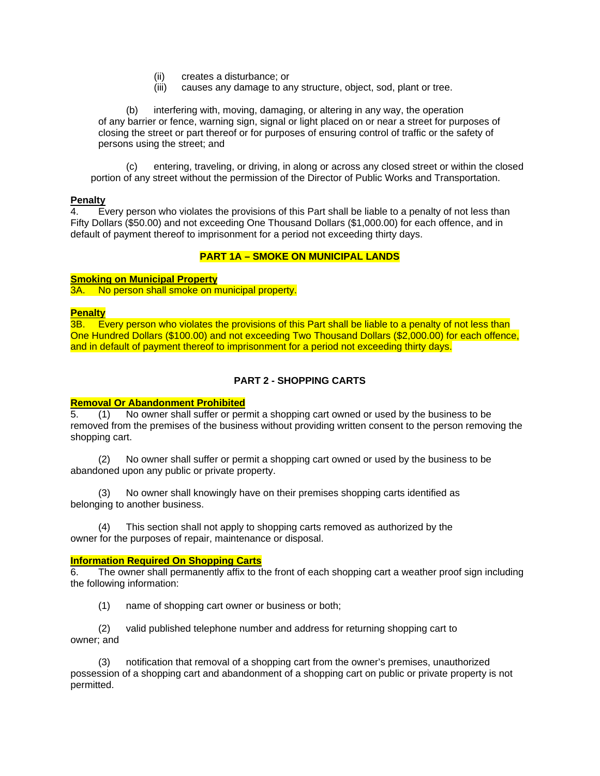- (ii) creates a disturbance; or
- (iii) causes any damage to any structure, object, sod, plant or tree.

(b) interfering with, moving, damaging, or altering in any way, the operation of any barrier or fence, warning sign, signal or light placed on or near a street for purposes of closing the street or part thereof or for purposes of ensuring control of traffic or the safety of persons using the street; and

(c) entering, traveling, or driving, in along or across any closed street or within the closed portion of any street without the permission of the Director of Public Works and Transportation.

#### **Penalty**

4. Every person who violates the provisions of this Part shall be liable to a penalty of not less than Fifty Dollars (\$50.00) and not exceeding One Thousand Dollars (\$1,000.00) for each offence, and in default of payment thereof to imprisonment for a period not exceeding thirty days.

#### **PART 1A – SMOKE ON MUNICIPAL LANDS**

#### **Smoking on Municipal Property**

3A. No person shall smoke on municipal property.

#### **Penalty**

3B. Every person who violates the provisions of this Part shall be liable to a penalty of not less than One Hundred Dollars (\$100.00) and not exceeding Two Thousand Dollars (\$2,000.00) for each offence, and in default of payment thereof to imprisonment for a period not exceeding thirty days.

#### **PART 2 - SHOPPING CARTS**

#### **Removal Or Abandonment Prohibited**

5. (1) No owner shall suffer or permit a shopping cart owned or used by the business to be removed from the premises of the business without providing written consent to the person removing the shopping cart.

(2) No owner shall suffer or permit a shopping cart owned or used by the business to be abandoned upon any public or private property.

(3) No owner shall knowingly have on their premises shopping carts identified as belonging to another business.

(4) This section shall not apply to shopping carts removed as authorized by the owner for the purposes of repair, maintenance or disposal.

#### **Information Required On Shopping Carts**

6. The owner shall permanently affix to the front of each shopping cart a weather proof sign including the following information:

(1) name of shopping cart owner or business or both;

(2) valid published telephone number and address for returning shopping cart to owner; and

(3) notification that removal of a shopping cart from the owner's premises, unauthorized possession of a shopping cart and abandonment of a shopping cart on public or private property is not permitted.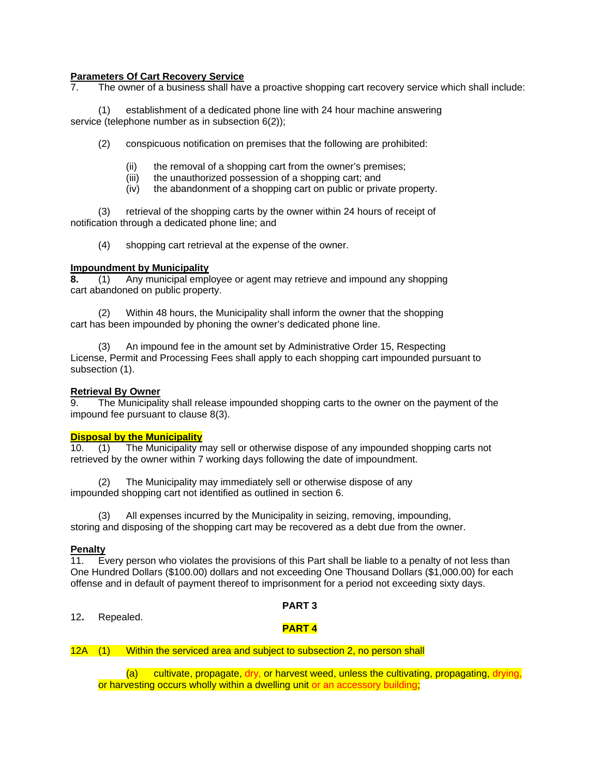#### **Parameters Of Cart Recovery Service**

7. The owner of a business shall have a proactive shopping cart recovery service which shall include:

(1) establishment of a dedicated phone line with 24 hour machine answering service (telephone number as in subsection 6(2));

(2) conspicuous notification on premises that the following are prohibited:

- (ii) the removal of a shopping cart from the owner's premises;
- (iii) the unauthorized possession of a shopping cart; and
- (iv) the abandonment of a shopping cart on public or private property.

(3) retrieval of the shopping carts by the owner within 24 hours of receipt of notification through a dedicated phone line; and

(4) shopping cart retrieval at the expense of the owner.

#### **Impoundment by Municipality**

**8.** (1) Any municipal employee or agent may retrieve and impound any shopping cart abandoned on public property.

(2) Within 48 hours, the Municipality shall inform the owner that the shopping cart has been impounded by phoning the owner's dedicated phone line.

(3) An impound fee in the amount set by Administrative Order 15, Respecting License, Permit and Processing Fees shall apply to each shopping cart impounded pursuant to subsection (1).

#### **Retrieval By Owner**

9. The Municipality shall release impounded shopping carts to the owner on the payment of the impound fee pursuant to clause 8(3).

#### **Disposal by the Municipality**

10. (1) The Municipality may sell or otherwise dispose of any impounded shopping carts not retrieved by the owner within 7 working days following the date of impoundment.

(2) The Municipality may immediately sell or otherwise dispose of any impounded shopping cart not identified as outlined in section 6.

(3) All expenses incurred by the Municipality in seizing, removing, impounding, storing and disposing of the shopping cart may be recovered as a debt due from the owner.

#### **Penalty**

11. Every person who violates the provisions of this Part shall be liable to a penalty of not less than One Hundred Dollars (\$100.00) dollars and not exceeding One Thousand Dollars (\$1,000.00) for each offense and in default of payment thereof to imprisonment for a period not exceeding sixty days.

#### **PART 3**

12**.** Repealed.

## **PART 4**

12A (1) Within the serviced area and subject to subsection 2, no person shall

(a) cultivate, propagate, dry, or harvest weed, unless the cultivating, propagating, drying, or harvesting occurs wholly within a dwelling unit or an accessory building;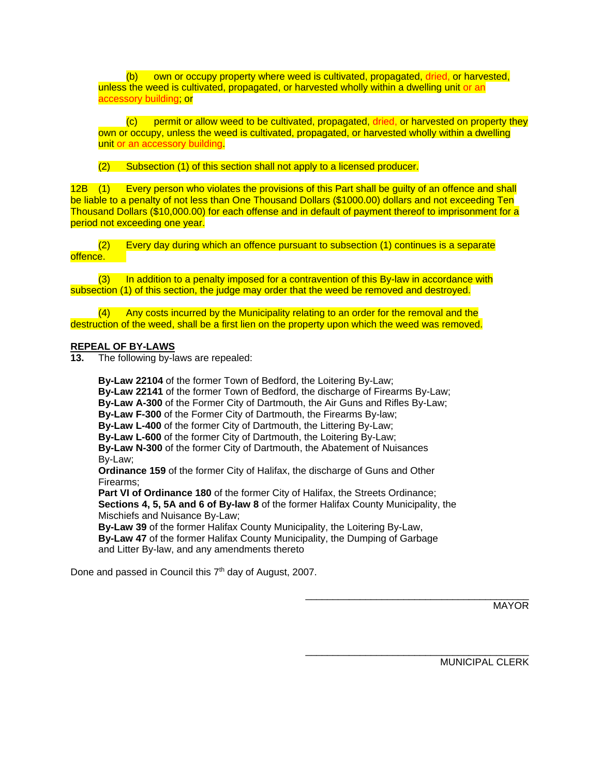(b) own or occupy property where weed is cultivated, propagated, dried, or harvested, unless the weed is cultivated, propagated, or harvested wholly within a dwelling unit or an accessory building; or

(c) permit or allow weed to be cultivated, propagated, dried, or harvested on property they own or occupy, unless the weed is cultivated, propagated, or harvested wholly within a dwelling unit or an accessory building.

(2) Subsection (1) of this section shall not apply to a licensed producer.

12B (1) Every person who violates the provisions of this Part shall be guilty of an offence and shall be liable to a penalty of not less than One Thousand Dollars (\$1000.00) dollars and not exceeding Ten Thousand Dollars (\$10,000.00) for each offense and in default of payment thereof to imprisonment for a period not exceeding one year.

 (2) Every day during which an offence pursuant to subsection (1) continues is a separate offence.

 $(3)$  In addition to a penalty imposed for a contravention of this By-law in accordance with subsection (1) of this section, the judge may order that the weed be removed and destroyed.

 (4) Any costs incurred by the Municipality relating to an order for the removal and the destruction of the weed, shall be a first lien on the property upon which the weed was removed.

#### **REPEAL OF BY-LAWS**

**13.** The following by-laws are repealed:

**By-Law 22104** of the former Town of Bedford, the Loitering By-Law; **By-Law 22141** of the former Town of Bedford, the discharge of Firearms By-Law; **By-Law A-300** of the Former City of Dartmouth, the Air Guns and Rifles By-Law; **By-Law F-300** of the Former City of Dartmouth, the Firearms By-law; **By-Law L-400** of the former City of Dartmouth, the Littering By-Law; **By-Law L-600** of the former City of Dartmouth, the Loitering By-Law; **By-Law N-300** of the former City of Dartmouth, the Abatement of Nuisances By-Law; **Ordinance 159** of the former City of Halifax, the discharge of Guns and Other Firearms; **Part VI of Ordinance 180** of the former City of Halifax, the Streets Ordinance; **Sections 4, 5, 5A and 6 of By-law 8** of the former Halifax County Municipality, the Mischiefs and Nuisance By-Law; **By-Law 39** of the former Halifax County Municipality, the Loitering By-Law,

**By-Law 47** of the former Halifax County Municipality, the Dumping of Garbage and Litter By-law, and any amendments thereto

 $\frac{1}{2}$  , and the state of the state of the state of the state of the state of the state of the state of the state of the state of the state of the state of the state of the state of the state of the state of the state

 $\frac{1}{2}$  , and the state of the state of the state of the state of the state of the state of the state of the state of the state of the state of the state of the state of the state of the state of the state of the state

Done and passed in Council this 7<sup>th</sup> day of August, 2007.

MAYOR

MUNICIPAL CLERK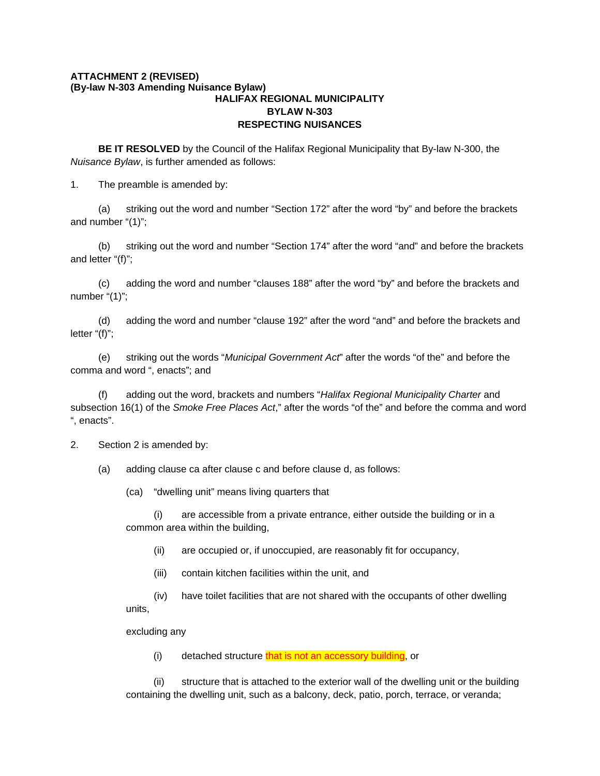#### **ATTACHMENT 2 (REVISED) (By-law N-303 Amending Nuisance Bylaw) HALIFAX REGIONAL MUNICIPALITY BYLAW N-303 RESPECTING NUISANCES**

**BE IT RESOLVED** by the Council of the Halifax Regional Municipality that By-law N-300, the *Nuisance Bylaw*, is further amended as follows:

1. The preamble is amended by:

(a) striking out the word and number "Section 172" after the word "by" and before the brackets and number "(1)";

(b) striking out the word and number "Section 174" after the word "and" and before the brackets and letter "(f)";

(c) adding the word and number "clauses 188" after the word "by" and before the brackets and number "(1)";

(d) adding the word and number "clause 192" after the word "and" and before the brackets and letter "(f)";

(e) striking out the words "*Municipal Government Act*" after the words "of the" and before the comma and word ", enacts"; and

(f) adding out the word, brackets and numbers "*Halifax Regional Municipality Charter* and subsection 16(1) of the *Smoke Free Places Act*," after the words "of the" and before the comma and word ", enacts".

2. Section 2 is amended by:

(a) adding clause ca after clause c and before clause d, as follows:

(ca) "dwelling unit" means living quarters that

 (i) are accessible from a private entrance, either outside the building or in a common area within the building,

(ii) are occupied or, if unoccupied, are reasonably fit for occupancy,

(iii) contain kitchen facilities within the unit, and

 (iv) have toilet facilities that are not shared with the occupants of other dwelling units,

excluding any

(i) detached structure that is not an accessory building, or

(ii) structure that is attached to the exterior wall of the dwelling unit or the building containing the dwelling unit, such as a balcony, deck, patio, porch, terrace, or veranda;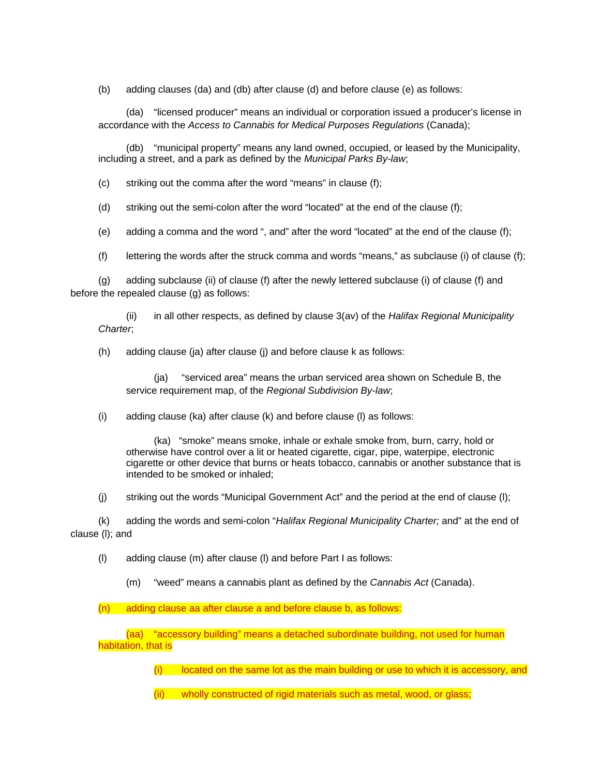(b) adding clauses (da) and (db) after clause (d) and before clause (e) as follows:

 (da) "licensed producer" means an individual or corporation issued a producer's license in accordance with the *Access to Cannabis for Medical Purposes Regulations* (Canada);

 (db) "municipal property" means any land owned, occupied, or leased by the Municipality, including a street, and a park as defined by the *Municipal Parks By-law*;

(c) striking out the comma after the word "means" in clause (f);

(d) striking out the semi-colon after the word "located" at the end of the clause (f);

(e) adding a comma and the word ", and" after the word "located" at the end of the clause (f);

(f) lettering the words after the struck comma and words "means," as subclause (i) of clause (f);

(g) adding subclause (ii) of clause (f) after the newly lettered subclause (i) of clause (f) and before the repealed clause (g) as follows:

 (ii) in all other respects, as defined by clause 3(av) of the *Halifax Regional Municipality Charter*;

(h) adding clause (ja) after clause (j) and before clause k as follows:

 (ja) "serviced area" means the urban serviced area shown on Schedule B, the service requirement map, of the *Regional Subdivision By-law*;

(i) adding clause (ka) after clause (k) and before clause (l) as follows:

 (ka) "smoke" means smoke, inhale or exhale smoke from, burn, carry, hold or otherwise have control over a lit or heated cigarette, cigar, pipe, waterpipe, electronic cigarette or other device that burns or heats tobacco, cannabis or another substance that is intended to be smoked or inhaled;

(j) striking out the words "Municipal Government Act" and the period at the end of clause (l);

(k) adding the words and semi-colon "*Halifax Regional Municipality Charter;* and" at the end of clause (l); and

(l) adding clause (m) after clause (l) and before Part I as follows:

(m) "weed" means a cannabis plant as defined by the *Cannabis Act* (Canada).

(n) adding clause aa after clause a and before clause b, as follows:

(aa) "accessory building" means a detached subordinate building, not used for human habitation, that is

 $(i)$  located on the same lot as the main building or use to which it is accessory, and

(ii) wholly constructed of rigid materials such as metal, wood, or glass;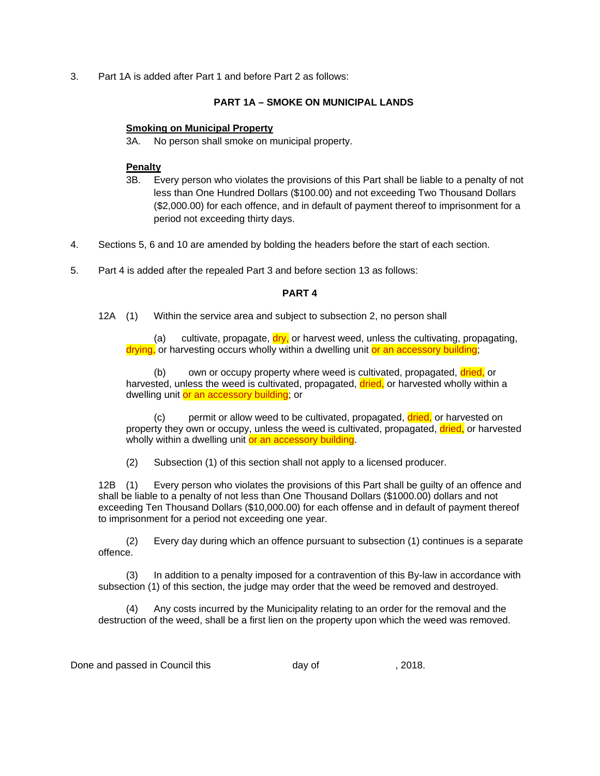3. Part 1A is added after Part 1 and before Part 2 as follows:

### **PART 1A – SMOKE ON MUNICIPAL LANDS**

#### **Smoking on Municipal Property**

3A. No person shall smoke on municipal property.

#### **Penalty**

- 3B. Every person who violates the provisions of this Part shall be liable to a penalty of not less than One Hundred Dollars (\$100.00) and not exceeding Two Thousand Dollars (\$2,000.00) for each offence, and in default of payment thereof to imprisonment for a period not exceeding thirty days.
- 4. Sections 5, 6 and 10 are amended by bolding the headers before the start of each section.
- 5. Part 4 is added after the repealed Part 3 and before section 13 as follows:

#### **PART 4**

12A (1) Within the service area and subject to subsection 2, no person shall

(a) cultivate, propagate,  $\frac{div}{dv}$  or harvest weed, unless the cultivating, propagating, drying, or harvesting occurs wholly within a dwelling unit or an accessory building;

(b) own or occupy property where weed is cultivated, propagated, dried, or harvested, unless the weed is cultivated, propagated, dried, or harvested wholly within a dwelling unit or an accessory building; or

(c) permit or allow weed to be cultivated, propagated, dried, or harvested on property they own or occupy, unless the weed is cultivated, propagated, dried, or harvested wholly within a dwelling unit or an accessory building.

(2) Subsection (1) of this section shall not apply to a licensed producer.

12B (1) Every person who violates the provisions of this Part shall be guilty of an offence and shall be liable to a penalty of not less than One Thousand Dollars (\$1000.00) dollars and not exceeding Ten Thousand Dollars (\$10,000.00) for each offense and in default of payment thereof to imprisonment for a period not exceeding one year.

 (2) Every day during which an offence pursuant to subsection (1) continues is a separate offence.

 (3) In addition to a penalty imposed for a contravention of this By-law in accordance with subsection (1) of this section, the judge may order that the weed be removed and destroyed.

 (4) Any costs incurred by the Municipality relating to an order for the removal and the destruction of the weed, shall be a first lien on the property upon which the weed was removed.

Done and passed in Council this **day of** the control of the same of  $\alpha$ , 2018.